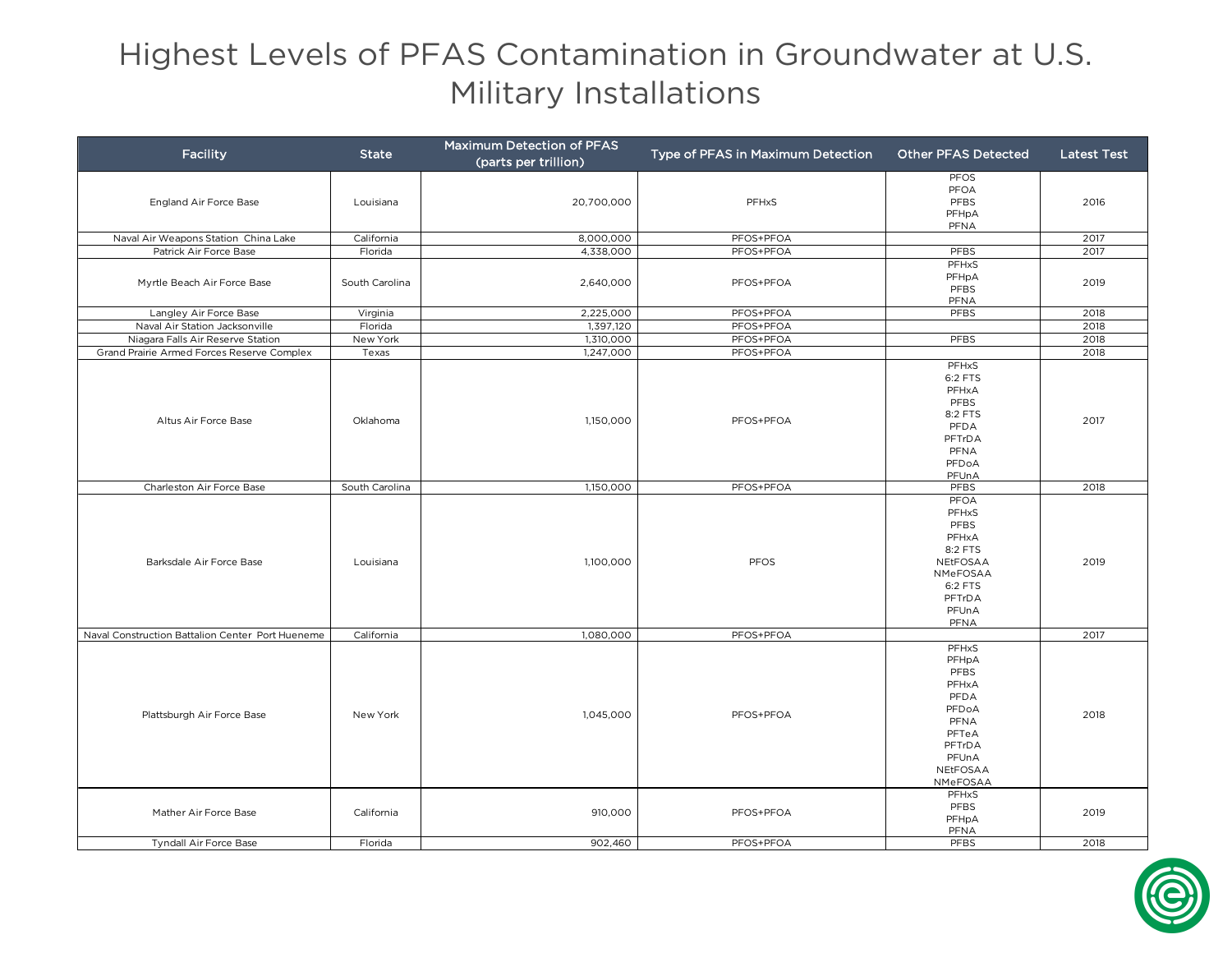## Highest Levels of PFAS Contamination in Groundwater at U.S. Military Installations

| <b>Facility</b>                                  | <b>State</b>   | Maximum Detection of PFAS<br>(parts per trillion) | Type of PFAS in Maximum Detection | <b>Other PFAS Detected</b>                                                                                   | <b>Latest Test</b> |
|--------------------------------------------------|----------------|---------------------------------------------------|-----------------------------------|--------------------------------------------------------------------------------------------------------------|--------------------|
| England Air Force Base                           | Louisiana      | 20,700,000                                        | PFHxS                             | <b>PFOS</b><br>PFOA<br>PFBS<br>PFHpA<br>PFNA                                                                 | 2016               |
| Naval Air Weapons Station China Lake             | California     | 8,000,000                                         | PFOS+PFOA                         |                                                                                                              | 2017               |
| Patrick Air Force Base                           | Florida        | 4,338,000                                         | PFOS+PFOA                         | PFBS                                                                                                         | 2017               |
| Myrtle Beach Air Force Base                      | South Carolina | 2,640,000                                         | PFOS+PFOA                         | PFHxS<br>PFHpA<br>PFBS<br>PFNA                                                                               | 2019               |
| Langley Air Force Base                           | Virginia       | 2,225,000                                         | PFOS+PFOA                         | PFBS                                                                                                         | 2018               |
| Naval Air Station Jacksonville                   | Florida        | 1,397,120                                         | PFOS+PFOA                         |                                                                                                              | 2018               |
| Niagara Falls Air Reserve Station                | New York       | 1,310,000                                         | PFOS+PFOA                         | PFBS                                                                                                         | 2018               |
| Grand Prairie Armed Forces Reserve Complex       | Texas          | 1,247,000                                         | PFOS+PFOA                         |                                                                                                              | 2018               |
| Altus Air Force Base                             | Oklahoma       | 1,150,000                                         | PFOS+PFOA                         | PFHxS<br>6:2 FTS<br>PFHxA<br>PFBS<br>8:2 FTS<br><b>PFDA</b><br>PFTrDA<br>PFNA<br>PFDoA<br>PFUnA              | 2017               |
| Charleston Air Force Base                        | South Carolina | 1,150,000                                         | PFOS+PFOA                         | PFBS                                                                                                         | 2018               |
| Barksdale Air Force Base                         | Louisiana      | 1,100,000                                         | PFOS                              | PFOA<br>PFHxS<br>PFBS<br>PFHxA<br>8:2 FTS<br>NEtFOSAA<br>NMeFOSAA<br>6:2 FTS<br>PFTrDA<br>PFUnA<br>PFNA      | 2019               |
| Naval Construction Battalion Center Port Hueneme | California     | 1,080,000                                         | PFOS+PFOA                         |                                                                                                              | 2017               |
| Plattsburgh Air Force Base                       | New York       | 1,045,000                                         | PFOS+PFOA                         | PFHxS<br>PFHpA<br>PFBS<br>PFHxA<br>PFDA<br>PFDoA<br>PFNA<br>PFTeA<br>PFTrDA<br>PFUnA<br>NEtFOSAA<br>NMeFOSAA | 2018               |
| Mather Air Force Base                            | California     | 910,000                                           | PFOS+PFOA                         | PFHxS<br>PFBS<br>PFHpA<br>PFNA                                                                               | 2019               |
| Tyndall Air Force Base                           | Florida        | 902,460                                           | PFOS+PFOA                         | PFBS                                                                                                         | 2018               |

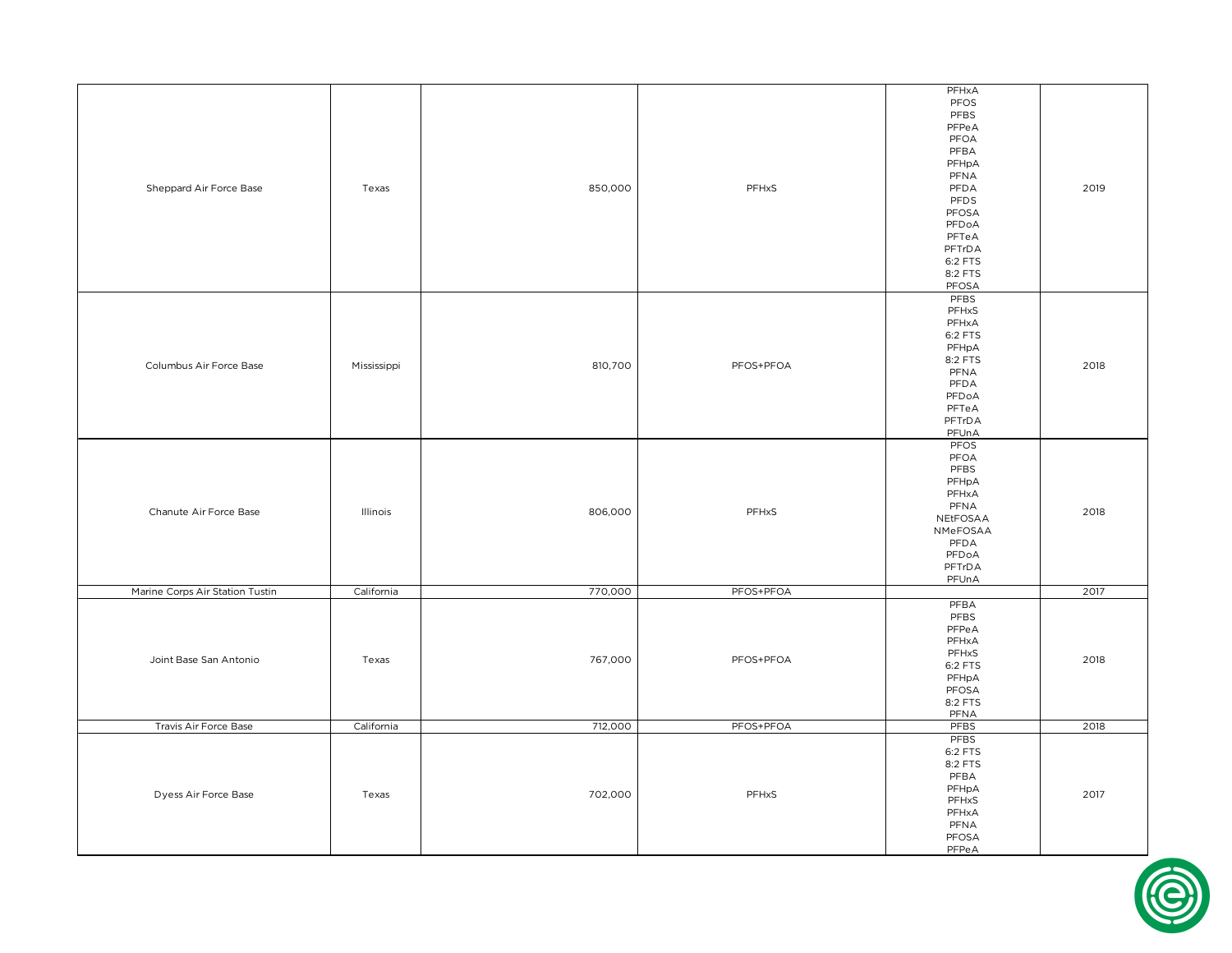|                                 |             |         |           | PFHxA       |      |
|---------------------------------|-------------|---------|-----------|-------------|------|
|                                 |             |         |           | PFOS        |      |
|                                 |             |         |           | PFBS        |      |
|                                 |             |         |           | PFPeA       |      |
|                                 |             |         |           | PFOA        |      |
|                                 |             |         |           | PFBA        |      |
|                                 |             |         |           |             |      |
|                                 |             |         |           | PFHpA       |      |
|                                 |             |         |           | PFNA        |      |
| Sheppard Air Force Base         | Texas       | 850,000 | PFHxS     | PFDA        | 2019 |
|                                 |             |         |           | PFDS        |      |
|                                 |             |         |           | PFOSA       |      |
|                                 |             |         |           | PFDoA       |      |
|                                 |             |         |           | PFTeA       |      |
|                                 |             |         |           |             |      |
|                                 |             |         |           | PFTrDA      |      |
|                                 |             |         |           | 6:2 FTS     |      |
|                                 |             |         |           | 8:2 FTS     |      |
|                                 |             |         |           | PFOSA       |      |
|                                 |             |         |           | PFBS        |      |
|                                 |             |         |           | PFHxS       |      |
|                                 |             |         |           |             |      |
|                                 |             |         |           | PFHxA       |      |
|                                 |             |         |           | 6:2 FTS     |      |
|                                 |             |         |           | PFHpA       |      |
|                                 |             |         |           | 8:2 FTS     |      |
| Columbus Air Force Base         | Mississippi | 810,700 | PFOS+PFOA | PFNA        | 2018 |
|                                 |             |         |           | PFDA        |      |
|                                 |             |         |           | PFDoA       |      |
|                                 |             |         |           |             |      |
|                                 |             |         |           | PFTeA       |      |
|                                 |             |         |           | PFTrDA      |      |
|                                 |             |         |           | PFUnA       |      |
|                                 |             |         |           | PFOS        |      |
|                                 |             |         |           | PFOA        | 2018 |
|                                 |             |         |           | PFBS        |      |
|                                 |             |         |           | PFHpA       |      |
|                                 |             |         |           |             |      |
|                                 |             |         |           | PFHxA       |      |
| Chanute Air Force Base          | Illinois    | 806,000 | PFHxS     | PFNA        |      |
|                                 |             |         |           | NEtFOSAA    |      |
|                                 |             |         |           | NMeFOSAA    |      |
|                                 |             |         |           | PFDA        |      |
|                                 |             |         |           | PFDoA       |      |
|                                 |             |         |           | PFTrDA      |      |
|                                 |             |         |           |             |      |
|                                 |             |         |           | PFUnA       |      |
| Marine Corps Air Station Tustin | California  | 770,000 | PFOS+PFOA |             | 2017 |
|                                 |             |         |           | PFBA        |      |
|                                 |             |         |           | PFBS        |      |
|                                 |             |         |           | PFPeA       |      |
|                                 |             |         |           | PFHxA       |      |
|                                 |             |         |           |             |      |
| Joint Base San Antonio          | Texas       | 767,000 | PFOS+PFOA | PFHxS       | 2018 |
|                                 |             |         |           | 6:2 FTS     |      |
|                                 |             |         |           | PFHpA       |      |
|                                 |             |         |           | PFOSA       |      |
|                                 |             |         |           | 8:2 FTS     |      |
|                                 |             |         |           | PFNA        |      |
| Travis Air Force Base           | California  | 712,000 | PFOS+PFOA | <b>PFBS</b> | 2018 |
|                                 |             |         |           | PFBS        |      |
|                                 |             |         |           |             |      |
|                                 |             |         |           | 6:2 FTS     |      |
| Dyess Air Force Base            |             |         |           | 8:2 FTS     |      |
|                                 |             |         |           | PFBA        |      |
|                                 |             |         |           | PFHpA       |      |
|                                 | Texas       | 702,000 | PFHxS     | PFHxS       | 2017 |
|                                 |             |         |           |             |      |
|                                 |             |         |           | PFHxA       |      |
|                                 |             |         |           | PFNA        |      |
|                                 |             |         |           | PFOSA       |      |
|                                 |             |         |           | PFPeA       |      |

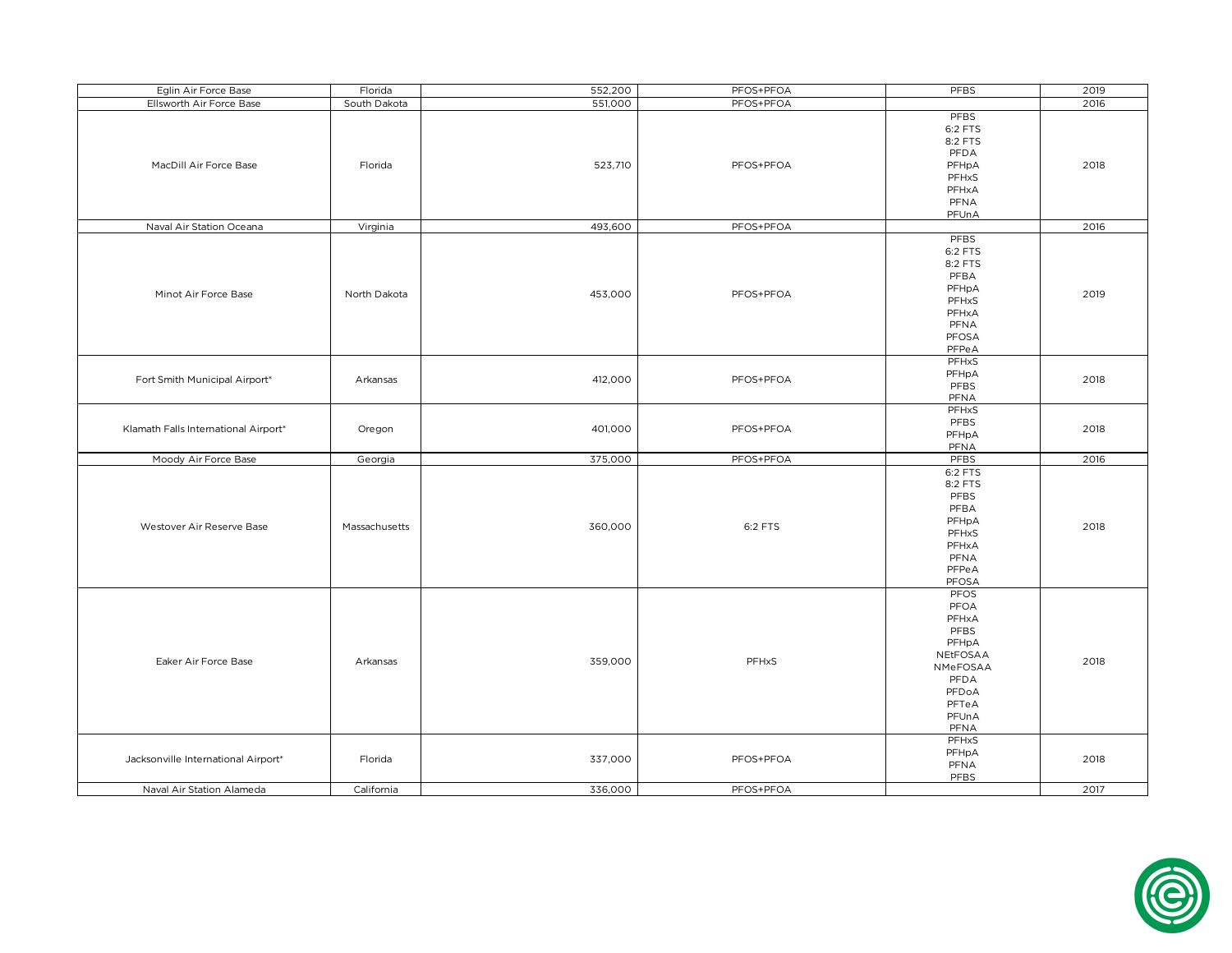| Eglin Air Force Base                 | Florida       | 552,200 | PFOS+PFOA | PFBS     | 2019 |
|--------------------------------------|---------------|---------|-----------|----------|------|
| Ellsworth Air Force Base             | South Dakota  | 551,000 | PFOS+PFOA |          | 2016 |
|                                      |               |         |           | PFBS     |      |
|                                      |               |         |           | 6:2 FTS  |      |
|                                      |               |         |           | 8:2 FTS  |      |
|                                      |               |         |           | PFDA     |      |
| MacDill Air Force Base               | Florida       |         |           |          | 2018 |
|                                      |               | 523,710 | PFOS+PFOA | PFHpA    |      |
|                                      |               |         |           | PFHxS    |      |
|                                      |               |         |           | PFHxA    |      |
|                                      |               |         |           | PFNA     |      |
|                                      |               |         |           | PFUnA    |      |
| Naval Air Station Oceana             | Virginia      | 493,600 | PFOS+PFOA |          | 2016 |
|                                      |               |         |           | PFBS     |      |
|                                      |               |         |           | 6:2 FTS  |      |
|                                      |               |         |           | 8:2 FTS  |      |
|                                      |               |         |           | PFBA     |      |
|                                      |               |         |           | PFHpA    |      |
| Minot Air Force Base                 | North Dakota  | 453,000 | PFOS+PFOA | PFHxS    | 2019 |
|                                      |               |         |           | PFHxA    |      |
|                                      |               |         |           | PFNA     |      |
|                                      |               |         |           | PFOSA    |      |
|                                      |               |         |           | PFPeA    |      |
|                                      |               |         |           | PFHxS    |      |
|                                      |               |         |           |          |      |
| Fort Smith Municipal Airport*        | Arkansas      | 412,000 | PFOS+PFOA | PFHpA    | 2018 |
|                                      |               |         |           | PFBS     |      |
|                                      |               |         |           | PFNA     |      |
|                                      |               |         |           | PFHxS    |      |
| Klamath Falls International Airport* | Oregon        | 401,000 | PFOS+PFOA | PFBS     | 2018 |
|                                      |               |         |           | PFHpA    |      |
|                                      |               |         |           | PFNA     |      |
| Moody Air Force Base                 | Georgia       | 375,000 | PFOS+PFOA | PFBS     | 2016 |
|                                      |               |         |           | 6:2 FTS  |      |
|                                      |               |         |           | 8:2 FTS  |      |
|                                      |               |         |           | PFBS     |      |
|                                      |               |         |           | PFBA     |      |
|                                      |               |         |           | PFHpA    |      |
| Westover Air Reserve Base            | Massachusetts | 360,000 | 6:2 FTS   | PFHxS    | 2018 |
|                                      |               |         |           | PFHxA    |      |
|                                      |               |         |           | PFNA     |      |
|                                      |               |         |           | PFPeA    |      |
|                                      |               |         |           | PFOSA    |      |
|                                      |               |         |           | PFOS     |      |
|                                      |               |         |           | PFOA     |      |
|                                      |               |         |           | PFHxA    |      |
|                                      |               |         |           |          |      |
|                                      |               |         |           | PFBS     |      |
|                                      |               |         |           | PFHpA    |      |
| Eaker Air Force Base                 | Arkansas      | 359,000 | PFHxS     | NEtFOSAA | 2018 |
|                                      |               |         |           | NMeFOSAA |      |
|                                      |               |         |           | PFDA     |      |
|                                      |               |         |           | PFDoA    |      |
|                                      |               |         |           | PFTeA    |      |
|                                      |               |         |           | PFUnA    |      |
|                                      |               |         |           | PFNA     |      |
|                                      |               |         |           | PFHxS    |      |
|                                      |               |         |           | PFHpA    |      |
| Jacksonville International Airport*  | Florida       | 337,000 | PFOS+PFOA | PFNA     | 2018 |
|                                      |               |         |           | PFBS     |      |
| Naval Air Station Alameda            | California    | 336,000 | PFOS+PFOA |          | 2017 |
|                                      |               |         |           |          |      |

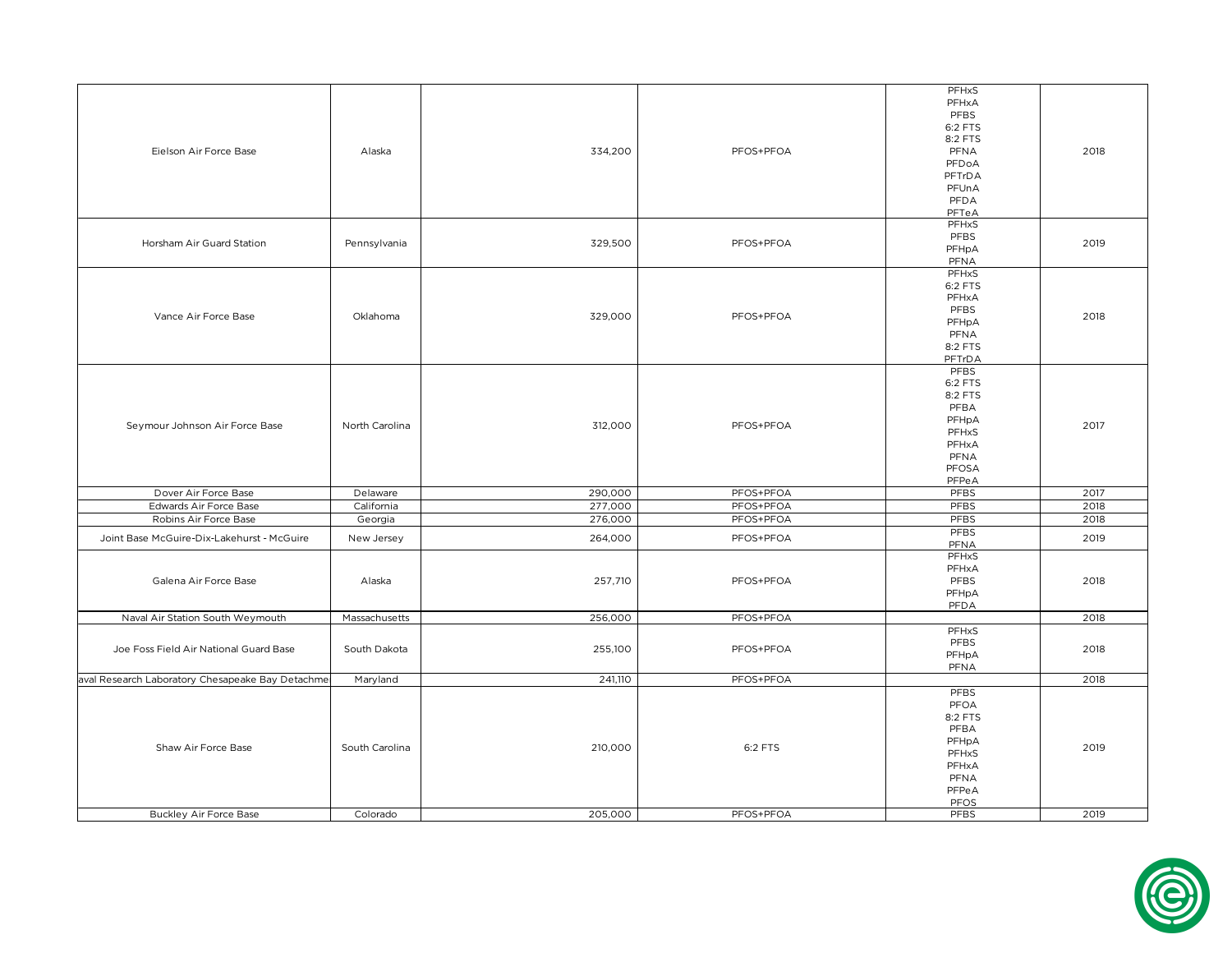|                                                   |                |         |           | PFHxS        |       |
|---------------------------------------------------|----------------|---------|-----------|--------------|-------|
|                                                   |                |         |           | PFHxA        |       |
|                                                   |                |         |           | PFBS         |       |
|                                                   |                |         |           | 6:2 FTS      |       |
|                                                   |                |         |           | 8:2 FTS      | 2018  |
|                                                   |                |         |           |              |       |
| Eielson Air Force Base                            | Alaska         | 334,200 | PFOS+PFOA | PFNA         |       |
|                                                   |                |         |           | PFDoA        |       |
|                                                   |                |         |           | PFTrDA       |       |
|                                                   |                |         |           | PFUnA        |       |
|                                                   |                |         |           | PFDA         |       |
|                                                   |                |         |           | PFTeA        |       |
|                                                   |                |         |           | <b>PFHxS</b> |       |
|                                                   |                |         |           | PFBS         |       |
| Horsham Air Guard Station                         | Pennsylvania   | 329,500 | PFOS+PFOA |              | 2019  |
|                                                   |                |         |           | PFHpA        |       |
|                                                   |                |         |           | PFNA         |       |
|                                                   |                |         |           | PFHxS        |       |
|                                                   |                |         |           | 6:2 FTS      |       |
|                                                   |                |         |           | PFHxA        |       |
|                                                   |                |         |           | PFBS         |       |
| Vance Air Force Base                              | Oklahoma       | 329,000 | PFOS+PFOA | PFHpA        | 2018  |
|                                                   |                |         |           | PFNA         |       |
|                                                   |                |         |           | 8:2 FTS      |       |
|                                                   |                |         |           |              |       |
|                                                   |                |         |           | PFTrDA       |       |
|                                                   |                |         |           | <b>PFBS</b>  |       |
|                                                   |                |         |           | 6:2 FTS      |       |
|                                                   |                |         |           | 8:2 FTS      |       |
|                                                   |                |         |           | PFBA         |       |
|                                                   |                |         |           | PFHpA        | 2017  |
| Seymour Johnson Air Force Base                    | North Carolina | 312,000 | PFOS+PFOA | PFHxS        |       |
|                                                   |                |         |           | PFHxA        |       |
|                                                   |                |         |           |              |       |
|                                                   |                |         |           | PFNA         |       |
|                                                   |                |         |           | PFOSA        |       |
|                                                   |                |         |           | PFPeA        |       |
| Dover Air Force Base                              | Delaware       | 290,000 | PFOS+PFOA | PFBS         | 2017  |
| Edwards Air Force Base                            | California     | 277,000 | PFOS+PFOA | PFBS         | 2018  |
| Robins Air Force Base                             | Georgia        | 276,000 | PFOS+PFOA | PFBS         | 2018  |
|                                                   |                |         |           | <b>PFBS</b>  |       |
| Joint Base McGuire-Dix-Lakehurst - McGuire        | New Jersey     | 264,000 | PFOS+PFOA |              | 2019  |
|                                                   |                |         |           | PFNA         |       |
|                                                   |                |         |           | <b>PFHxS</b> |       |
|                                                   |                |         |           | PFHxA        | 2018  |
| Galena Air Force Base                             | Alaska         | 257,710 | PFOS+PFOA | PFBS         |       |
|                                                   |                |         |           | PFHpA        |       |
|                                                   |                |         |           | PFDA         |       |
| Naval Air Station South Weymouth                  | Massachusetts  | 256,000 | PFOS+PFOA |              | 2018  |
|                                                   |                |         |           | PFHxS        |       |
|                                                   |                |         |           |              |       |
| Joe Foss Field Air National Guard Base            | South Dakota   | 255,100 | PFOS+PFOA | PFBS         | 2018  |
|                                                   |                |         |           | PFHpA        |       |
|                                                   |                |         |           | PFNA         |       |
| aval Research Laboratory Chesapeake Bay Detachmer | Maryland       | 241,110 | PFOS+PFOA |              | 2018  |
|                                                   |                |         |           | <b>PFBS</b>  |       |
|                                                   |                |         |           | PFOA         |       |
|                                                   |                |         |           |              |       |
|                                                   |                |         |           | 8:2 FTS      |       |
|                                                   |                |         |           | PFBA         | 2019  |
| Shaw Air Force Base                               | South Carolina | 210,000 | 6:2 FTS   | PFHpA        |       |
|                                                   |                |         |           | PFHxS        |       |
|                                                   |                |         |           | PFHxA        |       |
|                                                   |                |         |           | PFNA         | PFPeA |
|                                                   |                |         |           |              |       |
|                                                   |                |         |           | PFOS         |       |
|                                                   |                |         | PFOS+PFOA |              |       |
| <b>Buckley Air Force Base</b>                     | Colorado       | 205,000 |           | PFBS         | 2019  |

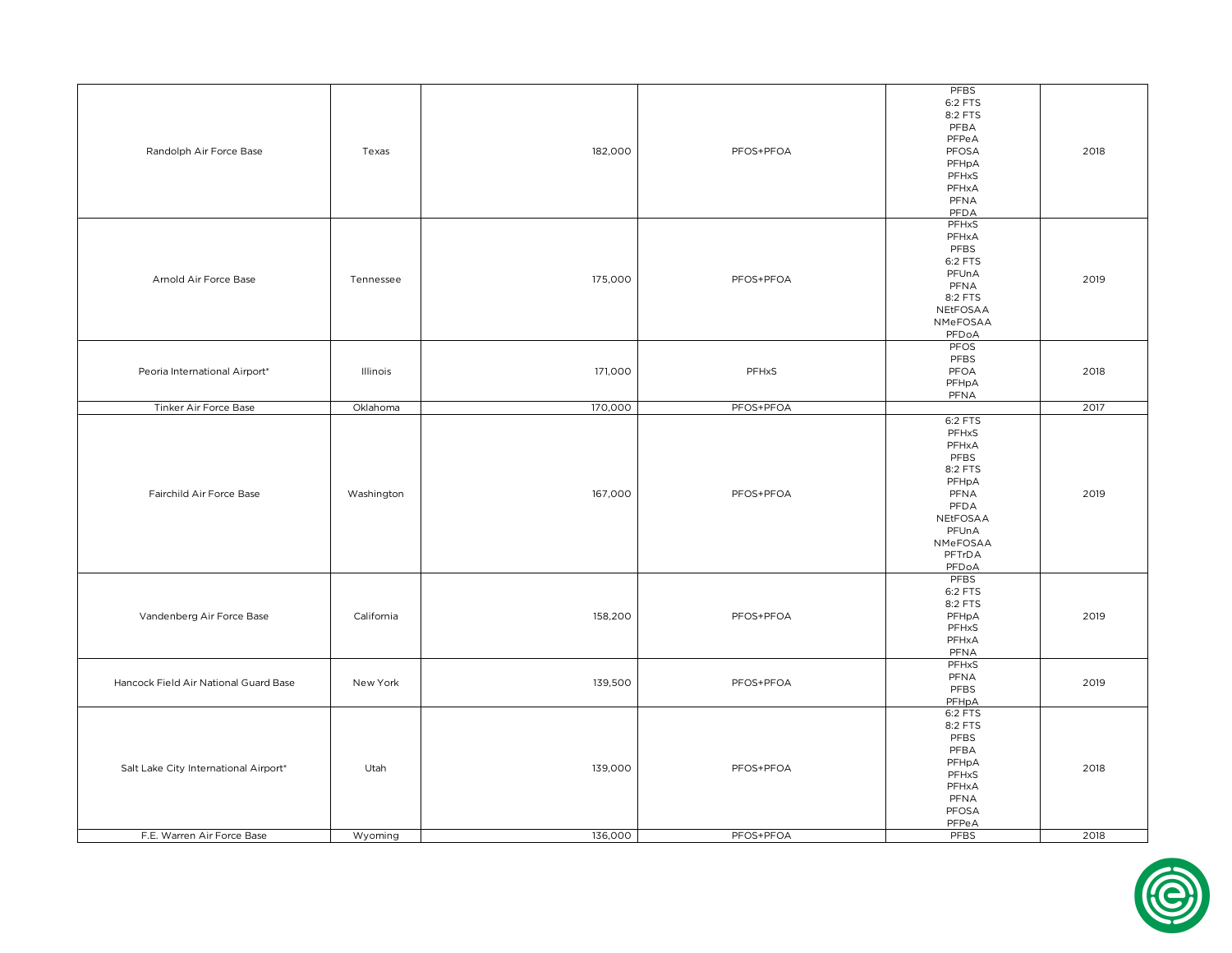| Randolph Air Force Base                                             | Texas           | 182,000            | PFOS+PFOA              | <b>PFBS</b><br>6:2 FTS<br>8:2 FTS<br>PFBA<br>PFPeA<br>PFOSA<br>PFHpA<br>PFHxS<br>PFHxA<br>PFNA<br>PFDA                    | 2018         |
|---------------------------------------------------------------------|-----------------|--------------------|------------------------|---------------------------------------------------------------------------------------------------------------------------|--------------|
| Arnold Air Force Base                                               | Tennessee       | 175,000            | PFOS+PFOA              | <b>PFHxS</b><br>PFHxA<br>PFBS<br>6:2 FTS<br>PFUnA<br>PFNA<br>8:2 FTS<br>NEtFOSAA<br>NMeFOSAA<br>PFDoA                     | 2019         |
| Peoria International Airport*                                       | Illinois        | 171,000            | PFHxS                  | PFOS<br>PFBS<br>PFOA<br>PFHpA<br>PFNA                                                                                     | 2018         |
| Tinker Air Force Base                                               | Oklahoma        | 170,000            | PFOS+PFOA              |                                                                                                                           | 2017         |
| Fairchild Air Force Base                                            | Washington      | 167,000            | PFOS+PFOA              | 6:2 FTS<br>PFHxS<br>PFHxA<br>PFBS<br>8:2 FTS<br>PFHpA<br>PFNA<br>PFDA<br>NEtFOSAA<br>PFUnA<br>NMeFOSAA<br>PFTrDA<br>PFDoA | 2019         |
| Vandenberg Air Force Base                                           | California      | 158,200            | PFOS+PFOA              | <b>PFBS</b><br>6:2 FTS<br>8:2 FTS<br>PFHpA<br>PFHxS<br>PFHxA<br>PFNA                                                      | 2019         |
| Hancock Field Air National Guard Base                               | New York        | 139,500            | PFOS+PFOA              | <b>PFHxS</b><br>PFNA<br>PFBS<br>PFHpA                                                                                     | 2019         |
| Salt Lake City International Airport*<br>F.E. Warren Air Force Base | Utah<br>Wyoming | 139,000<br>136,000 | PFOS+PFOA<br>PFOS+PFOA | 6:2 FTS<br>8:2 FTS<br>PFBS<br>PFBA<br>PFHpA<br>PFHxS<br>PFHxA<br>PFNA<br>PFOSA<br>PFPeA<br><b>PFBS</b>                    | 2018<br>2018 |
|                                                                     |                 |                    |                        |                                                                                                                           |              |

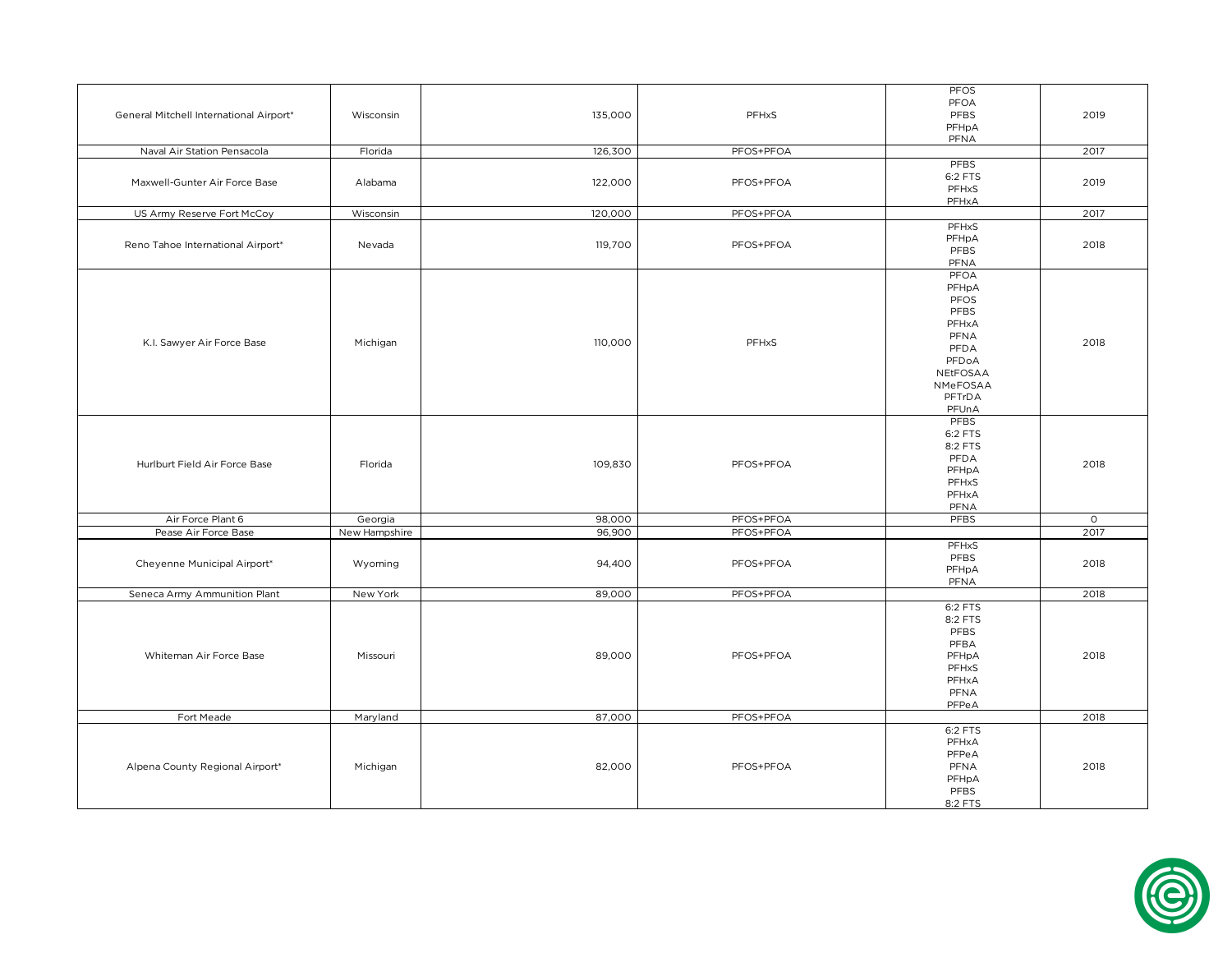|                                         |               |                    |           | PFOS            |         |
|-----------------------------------------|---------------|--------------------|-----------|-----------------|---------|
| General Mitchell International Airport* | Wisconsin     | 135,000            | PFHxS     | PFOA            | 2019    |
|                                         |               |                    |           | PFBS            |         |
|                                         |               |                    |           | PFHpA           |         |
|                                         |               |                    |           | PFNA            |         |
| Naval Air Station Pensacola             | Florida       | 126,300            | PFOS+PFOA |                 | 2017    |
|                                         |               |                    |           | PFBS            |         |
| Maxwell-Gunter Air Force Base           | Alabama       | 122,000            | PFOS+PFOA | 6:2 FTS         | 2019    |
|                                         |               |                    |           | PFHxS           |         |
|                                         |               |                    |           | PFHxA           |         |
| US Army Reserve Fort McCoy              | Wisconsin     | 120,000            | PFOS+PFOA |                 | 2017    |
|                                         |               |                    |           | <b>PFHxS</b>    |         |
| Reno Tahoe International Airport*       | Nevada        | 119,700            | PFOS+PFOA | PFHpA           | 2018    |
|                                         |               |                    |           | PFBS            |         |
|                                         |               |                    |           | PFNA            |         |
|                                         |               |                    |           | PFOA            |         |
|                                         |               |                    |           | PFHpA           |         |
|                                         |               |                    |           | PFOS            |         |
|                                         |               |                    |           | PFBS            |         |
|                                         |               |                    |           | PFHxA           |         |
|                                         |               |                    |           | PFNA            |         |
| K.I. Sawyer Air Force Base              | Michigan      | 110,000            | PFHxS     | PFDA            | 2018    |
|                                         |               |                    |           | PFDoA           |         |
|                                         |               |                    |           | NEtFOSAA        |         |
|                                         |               |                    |           | NMeFOSAA        |         |
|                                         |               |                    |           | PFTrDA          |         |
|                                         |               |                    |           | PFUnA           |         |
|                                         |               |                    |           | PFBS            |         |
|                                         |               |                    |           | 6:2 FTS         | 2018    |
|                                         |               |                    |           |                 |         |
|                                         |               |                    |           | 8:2 FTS<br>PFDA |         |
| Hurlburt Field Air Force Base           | Florida       | 109,830            | PFOS+PFOA | PFHpA           |         |
|                                         |               |                    |           | PFHxS           |         |
|                                         |               |                    |           | PFHxA           |         |
|                                         |               |                    |           | PFNA            |         |
| Air Force Plant 6                       | Georgia       | 98,000             | PFOS+PFOA | <b>PFBS</b>     | $\circ$ |
| Pease Air Force Base                    | New Hampshire | 96,900             | PFOS+PFOA |                 | 2017    |
|                                         |               |                    |           |                 |         |
|                                         |               |                    |           | <b>PFHxS</b>    |         |
| Cheyenne Municipal Airport*             | Wyoming       | 94,400             | PFOS+PFOA | PFBS            | 2018    |
|                                         |               |                    |           | PFHpA           |         |
|                                         |               |                    |           | PFNA            |         |
| Seneca Army Ammunition Plant            | New York      | 89,000             | PFOS+PFOA |                 | 2018    |
|                                         |               |                    |           | 6:2 FTS         |         |
|                                         |               |                    |           | 8:2 FTS         |         |
|                                         |               |                    |           | PFBS            |         |
|                                         |               |                    |           | PFBA            |         |
| Whiteman Air Force Base                 | Missouri      | 89,000             | PFOS+PFOA | PFHpA           | 2018    |
|                                         |               |                    |           | PFHxS           |         |
|                                         |               |                    |           | PFHxA           |         |
|                                         |               |                    |           | PFNA            |         |
|                                         |               |                    |           | PFPeA           |         |
| Fort Meade                              | Maryland      | 87,000             | PFOS+PFOA |                 | 2018    |
|                                         |               |                    |           | 6:2 FTS         |         |
| Alpena County Regional Airport*         |               |                    |           | PFHxA           | 2018    |
|                                         |               | 82,000<br>Michigan |           | PFPeA           |         |
|                                         |               |                    | PFOS+PFOA | PFNA            |         |
|                                         |               |                    |           | PFHpA           |         |
|                                         |               |                    |           | PFBS            |         |
|                                         |               |                    |           | 8:2 FTS         |         |
|                                         |               |                    |           |                 |         |

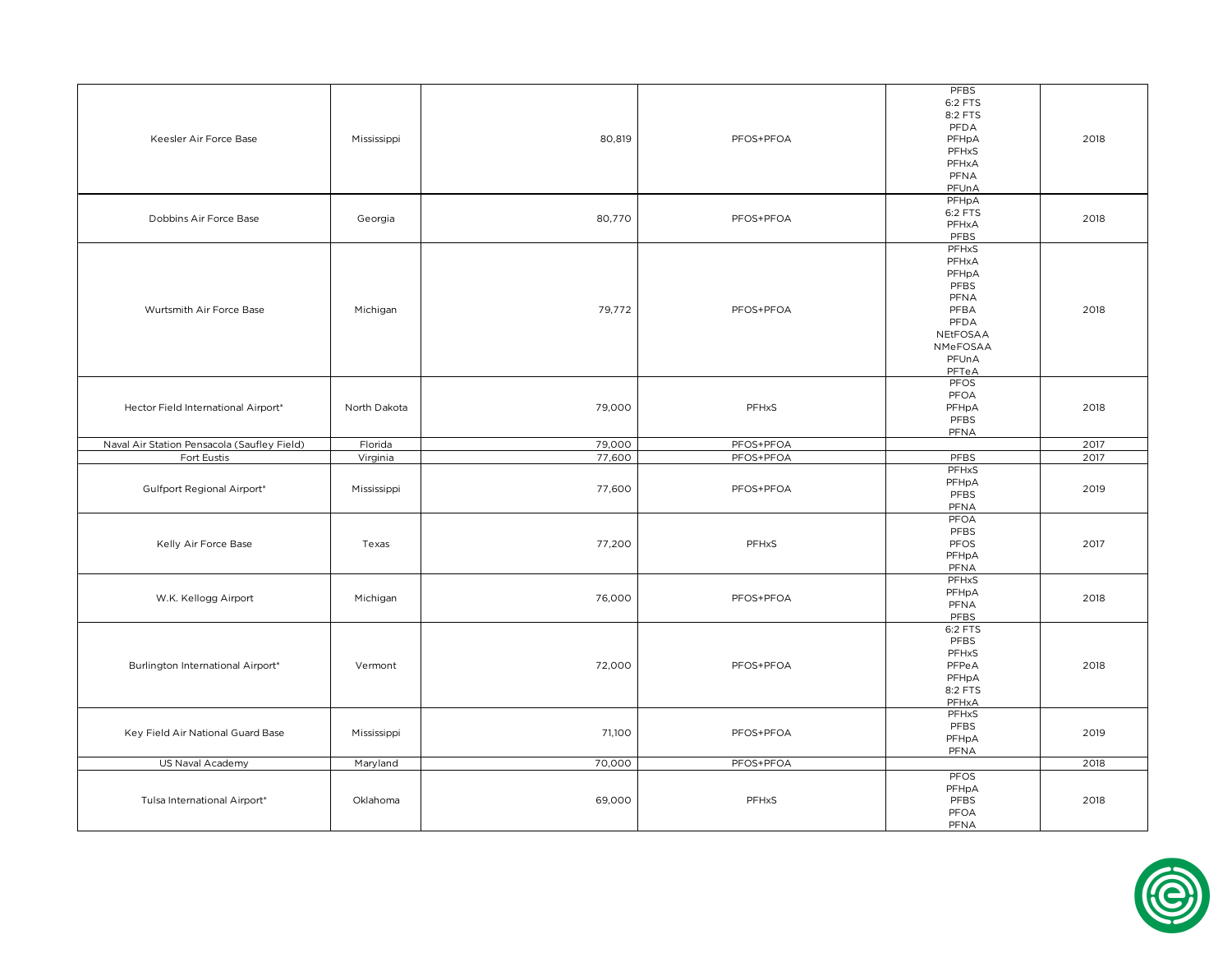| Keesler Air Force Base                      | Mississippi  | 80,819 | PFOS+PFOA | PFBS<br>6:2 FTS<br>8:2 FTS<br>PFDA<br>PFHpA<br>PFHxS<br>PFHxA<br>PFNA<br>PFUnA                    | 2018 |
|---------------------------------------------|--------------|--------|-----------|---------------------------------------------------------------------------------------------------|------|
| Dobbins Air Force Base                      | Georgia      | 80,770 | PFOS+PFOA | PFHpA<br>6:2 FTS<br>PFHxA<br>PFBS                                                                 | 2018 |
| Wurtsmith Air Force Base                    | Michigan     | 79,772 | PFOS+PFOA | PFHxS<br>PFHxA<br>PFHpA<br>PFBS<br>PFNA<br>PFBA<br>PFDA<br>NEtFOSAA<br>NMeFOSAA<br>PFUnA<br>PFTeA | 2018 |
| Hector Field International Airport*         | North Dakota | 79,000 | PFHxS     | PFOS<br>PFOA<br>PFHpA<br>PFBS<br>PFNA                                                             | 2018 |
| Naval Air Station Pensacola (Saufley Field) | Florida      | 79,000 | PFOS+PFOA |                                                                                                   | 2017 |
| Fort Eustis                                 | Virginia     | 77,600 | PFOS+PFOA | <b>PFBS</b>                                                                                       | 2017 |
| Gulfport Regional Airport*                  | Mississippi  | 77,600 | PFOS+PFOA | PFHxS<br>PFHpA<br>PFBS<br>PFNA                                                                    | 2019 |
| Kelly Air Force Base                        | Texas        | 77,200 | PFHxS     | PFOA<br>PFBS<br>PFOS<br>PFHpA<br>PFNA                                                             | 2017 |
| W.K. Kellogg Airport                        | Michigan     | 76,000 | PFOS+PFOA | PFHxS<br>PFHpA<br>PFNA<br>PFBS                                                                    | 2018 |
| Burlington International Airport*           | Vermont      | 72,000 | PFOS+PFOA | 6:2 FTS<br>PFBS<br>PFHxS<br>PFPeA<br>PFHpA<br>8:2 FTS<br>PFHxA                                    | 2018 |
| Key Field Air National Guard Base           | Mississippi  | 71,100 | PFOS+PFOA | PFHxS<br>PFBS<br>PFHpA<br>PFNA                                                                    | 2019 |
| US Naval Academy                            | Maryland     | 70,000 | PFOS+PFOA |                                                                                                   | 2018 |
| Tulsa International Airport*                | Oklahoma     | 69,000 | PFHxS     | PFOS<br>PFHpA<br>PFBS<br>PFOA<br>PFNA                                                             | 2018 |